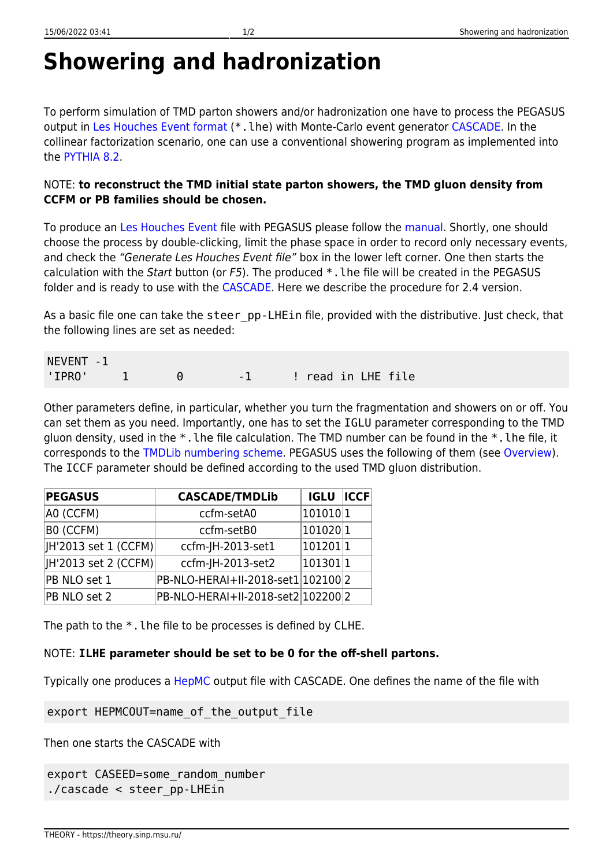## **Showering and hadronization**

To perform simulation of TMD parton showers and/or hadronization one have to process the PEGASUS output in [Les Houches Event format](https://arxiv.org/abs/hep-ph/0609017) (\*. lhe) with Monte-Carlo event generator [CASCADE](https://cascade.hepforge.org). In the collinear factorization scenario, one can use a conventional showering program as implemented into the [PYTHIA 8.2.](http://home.thep.lu.se/Pythia)

## NOTE: **to reconstruct the TMD initial state parton showers, the TMD gluon density from CCFM or PB families should be chosen.**

To produce an [Les Houches Event](https://arxiv.org/abs/hep-ph/0609017) file with PEGASUS please follow the [manual](https://theory.sinp.msu.ru/doku.php/pegasus/manual). Shortly, one should choose the process by double-clicking, limit the phase space in order to record only necessary events, and check the "Generate Les Houches Event file" box in the lower left corner. One then starts the calculation with the Start button (or F5). The produced \*.lhe file will be created in the PEGASUS folder and is ready to use with the [CASCADE](https://cascade.hepforge.org). Here we describe the procedure for 2.4 version.

As a basic file one can take the steer pp-LHEin file, provided with the distributive. Just check, that the following lines are set as needed:

| NEVENT -1 |  |  |  |  |                         |  |  |
|-----------|--|--|--|--|-------------------------|--|--|
| 'IPRO'    |  |  |  |  | -1 : ! read in LHE file |  |  |

Other parameters define, in particular, whether you turn the fragmentation and showers on or off. You can set them as you need. Importantly, one has to set the IGLU parameter corresponding to the TMD gluon density, used in the \*.lhe file calculation. The TMD number can be found in the \*.lhe file, it corresponds to the [TMDLib numbering scheme.](https://tmdlib.hepforge.org/doxy/html/pdfsets.html) PEGASUS uses the following of them (see [Overview](https://theory.sinp.msu.ru/doku.php/pegasus/overview)). The ICCF parameter should be defined according to the used TMD gluon distribution.

| <b>PEGASUS</b>       | <b>CASCADE/TMDLib</b>              | <b>IGLU ICCF</b> |  |
|----------------------|------------------------------------|------------------|--|
| A0 (CCFM)            | ccfm-setA0                         | 10101011         |  |
| B0 (CCFM)            | ccfm-setB0                         | 101020 1         |  |
| H'2013 set 1 (CCFM)  | ccfm-JH-2013-set1                  | 101201 1         |  |
| JH'2013 set 2 (CCFM) | ccfm-JH-2013-set2                  | 101301 1         |  |
| PB NLO set 1         | PB-NLO-HERAI+II-2018-set1 102100 2 |                  |  |
| PB NLO set 2         | PB-NLO-HERAI+II-2018-set2 102200 2 |                  |  |

The path to the  $*$ . The file to be processes is defined by CLHE.

## NOTE: **ILHE parameter should be set to be 0 for the off-shell partons.**

Typically one produces a [HepMC](https://www.sciencedirect.com/science/article/pii/S0010465500001892?via%3Dihub) output file with CASCADE. One defines the name of the file with

export HEPMCOUT=name\_of\_the\_output\_file

Then one starts the CASCADE with

```
export CASEED=some_random_number
./cascade < steer_pp-LHEin
```